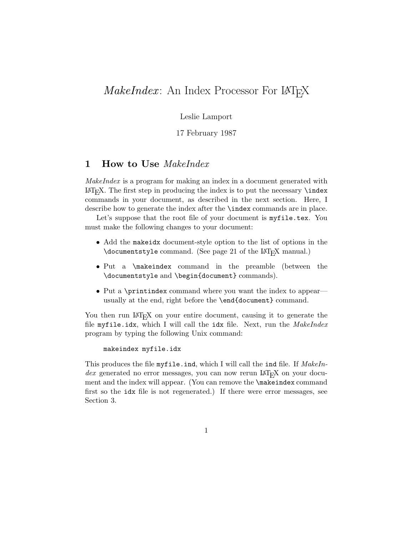# *MakeIndex*: An Index Processor For LAT<sub>E</sub>X

Leslie Lamport

17 February 1987

# **1 How to Use** *MakeIndex*

*MakeIndex* is a program for making an index in a document generated with  $\text{LFT}_{\text{F}}$ X. The first step in producing the index is to put the necessary **\index** commands in your document, as described in the next section. Here, I describe how to generate the index after the \index commands are in place.

Let's suppose that the root file of your document is myfile.tex. You must make the following changes to your document:

- Add the makeidx document-style option to the list of options in the \documentstyle command. (See page 21 of the  $\text{LAT}_\text{F}X$  manual.)
- *•* Put a \makeindex command in the preamble (between the \documentstyle and \begin{document} commands).
- Put a \printindex command where you want the index to appear usually at the end, right before the \end{document} command.

You then run LAT<sub>E</sub>X on your entire document, causing it to generate the file myfile.idx, which I will call the idx file. Next, run the *MakeIndex* program by typing the following Unix command:

```
makeindex myfile.idx
```
This produces the file myfile.ind, which I will call the ind file. If *MakeIn* $dex$  generated no error messages, you can now rerun  $\text{LATF}_{X}$  on your document and the index will appear. (You can remove the \makeindex command first so the idx file is not regenerated.) If there were error messages, see Section 3.

1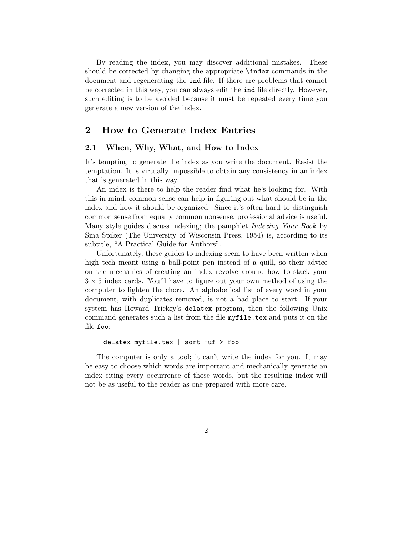By reading the index, you may discover additional mistakes. These should be corrected by changing the appropriate \index commands in the document and regenerating the ind file. If there are problems that cannot be corrected in this way, you can always edit the ind file directly. However, such editing is to be avoided because it must be repeated every time you generate a new version of the index.

# **2 How to Generate Index Entries**

## **2.1 When, Why, What, and How to Index**

It's tempting to generate the index as you write the document. Resist the temptation. It is virtually impossible to obtain any consistency in an index that is generated in this way.

An index is there to help the reader find what he's looking for. With this in mind, common sense can help in figuring out what should be in the index and how it should be organized. Since it's often hard to distinguish common sense from equally common nonsense, professional advice is useful. Many style guides discuss indexing; the pamphlet *Indexing Your Book* by Sina Spiker (The University of Wisconsin Press, 1954) is, according to its subtitle, "A Practical Guide for Authors".

Unfortunately, these guides to indexing seem to have been written when high tech meant using a ball-point pen instead of a quill, so their advice on the mechanics of creating an index revolve around how to stack your 3 *×* 5 index cards. You'll have to figure out your own method of using the computer to lighten the chore. An alphabetical list of every word in your document, with duplicates removed, is not a bad place to start. If your system has Howard Trickey's delatex program, then the following Unix command generates such a list from the file myfile.tex and puts it on the file foo:

#### delatex myfile.tex | sort -uf > foo

The computer is only a tool; it can't write the index for you. It may be easy to choose which words are important and mechanically generate an index citing every occurrence of those words, but the resulting index will not be as useful to the reader as one prepared with more care.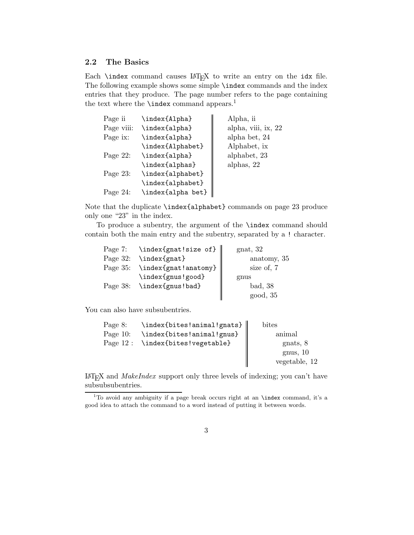# **2.2 The Basics**

Each  $\langle$  index command causes  $\langle M_{F}X \rangle$  to write an entry on the idx file. The following example shows some simple \index commands and the index entries that they produce. The page number refers to the page containing the text where the  $\theta$  command appears.<sup>1</sup>

| Page ii     | \index{Alpha}     | Alpha, ii           |
|-------------|-------------------|---------------------|
| Page viii:  | \index{alpha}     | alpha, viii, ix, 22 |
| Page ix:    | \index{alpha}     | alpha bet, 24       |
|             | \index{Alphabet}  | Alphabet, ix        |
| Page 22:    | \index{alpha}     | alphabet, 23        |
|             | \index{alphas}    | alphas, 22          |
| Page 23:    | \index{alphabet}  |                     |
|             | \index{alphabet}  |                     |
| Page $24$ : | \index{alpha bet} |                     |

Note that the duplicate \index{alphabet} commands on page 23 produce only one "23" in the index.

To produce a subentry, the argument of the \index command should contain both the main entry and the subentry, separated by a ! character.

|             | Page 7: $\infty$ \index{gnat!size of} | $g$ nat, 32 |
|-------------|---------------------------------------|-------------|
| Page $32$ : | \index{gnat}                          | anatomy, 35 |
|             | Page 35: \index{gnat!anatomy}         | size of, 7  |
|             | \index{gnus!good}                     | gnus        |
| Page 38:    | \index{gnus!bad}                      | bad, 38     |
|             |                                       | good, 35    |

You can also have subsubentries.

| Page 8:     | \index{bites!animal!gnats} | bites         |
|-------------|----------------------------|---------------|
| Page $10$ : | \index{bites!animal!gnus}  | animal        |
| Page $12:$  | \index{bites!vegetable}    | gnats, 8      |
|             |                            | gnus, 10      |
|             |                            | vegetable, 12 |

LaTEX and *MakeIndex* support only three levels of indexing; you can't have subsubsubentries.

<sup>&</sup>lt;sup>1</sup>To avoid any ambiguity if a page break occurs right at an **\index** command, it's a good idea to attach the command to a word instead of putting it between words.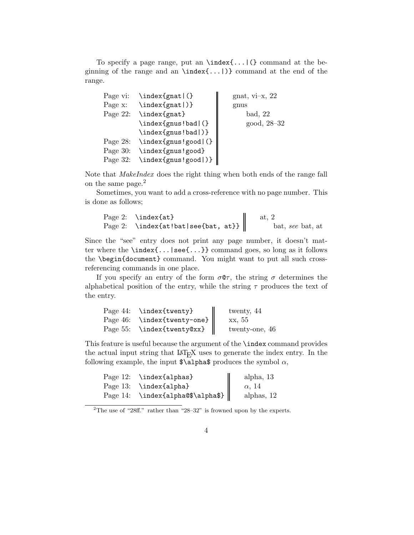To specify a page range, put an \index{...|(} command at the beginning of the range and an  $\index{\ldots}$  command at the end of the range.

```
Page vi: \index{gnat|(}
Page x: \index{gnat|)}
Page 22: \index{gnat}
         \index{gnus!bad|(}
         \index{gnus!bad|)}
Page 28: \index{gnus!good|(}
Page 30: \index{gnus!good}
Page 32: \index{gnus!good|)}
                                  gnat, vi-x, 22
                                  gnus
                                      bad, 22
                                      good, 28–32
```
Note that *MakeIndex* does the right thing when both ends of the range fall on the same page.<sup>2</sup>

Sometimes, you want to add a cross-reference with no page number. This is done as follows;

| Page 2: $\in$ \index{at}                     | at. 2            |
|----------------------------------------------|------------------|
| Page 2: $\infty$ \index{at!bat see{bat, at}} | bat, see bat, at |

Since the "see" entry does not print any page number, it doesn't matter where the \index{...|see{...}} command goes, so long as it follows the \begin{document} command. You might want to put all such crossreferencing commands in one place.

If you specify an entry of the form  $\sigma \mathbb{Q} \tau$ , the string  $\sigma$  determines the alphabetical position of the entry, while the string  $\tau$  produces the text of the entry.

| Page 44: \index{twenty}          | twenty, 44     |
|----------------------------------|----------------|
| Page 46: \index{twenty-one}      | xx, 55         |
| Page 55: $\in$ \index{twenty@xx} | twenty-one, 46 |

This feature is useful because the argument of the \index command provides the actual input string that LAT<sub>E</sub>X uses to generate the index entry. In the following example, the input  $\alpha \$ 

|          | Page 12: \index{alphas}  | alpha, $13$   |
|----------|--------------------------|---------------|
|          | Page 13: \index{alpha}   | $\alpha$ , 14 |
| Page 14: | \index{alpha@\$\alpha\$} | alphas, $12$  |

## 4

<sup>&</sup>lt;sup>2</sup>The use of "28ff." rather than "28–32" is frowned upon by the experts.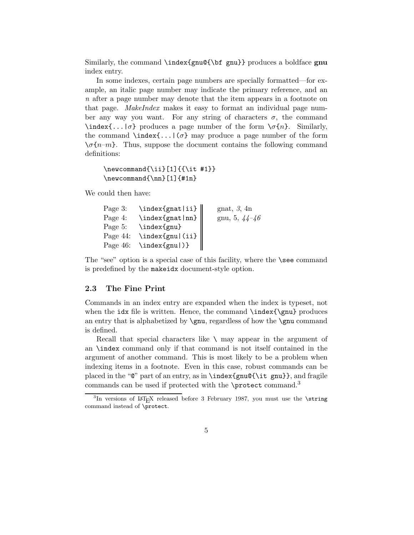Similarly, the command \index{gnu@{\bf gnu}} produces a boldface **gnu** index entry.

In some indexes, certain page numbers are specially formatted—for example, an italic page number may indicate the primary reference, and an *n* after a page number may denote that the item appears in a footnote on that page. *MakeIndex* makes it easy to format an individual page number any way you want. For any string of characters  $\sigma$ , the command  $\int \mathcal{S}(\cdot, \cdot) \, d\tau$  produces a page number of the form  $\sigma\{n\}$ . Similarly, the command  $\int_{\sigma}$  index{...|( $\sigma$ } may produce a page number of the form  $\{\sigma\{n-m\}$ . Thus, suppose the document contains the following command definitions:

```
\newcommand{\iota}{i}{i}{f\it{t #1}}\newcommand{\nn}[1]{#1n}
```
We could then have:

| Page 3:  | $\infty$ \index{gnat ii} | gnat, $\beta$ , 4n |
|----------|--------------------------|--------------------|
| Page 4:  | $\infty$ {gnat nn}       | gnu, 5, $44-46$    |
| Page 5:  | \index{gnu}              |                    |
| Page 44: | $\hat{\tau}$             |                    |
| Page 46: | \index{gnu )}            |                    |

The "see" option is a special case of this facility, where the \see command is predefined by the makeidx document-style option.

#### **2.3 The Fine Print**

Commands in an index entry are expanded when the index is typeset, not when the  $idx$  file is written. Hence, the command  $\index{\gamma$  produces an entry that is alphabetized by  $\gamma$ , regardless of how the  $\gamma$  command is defined.

Recall that special characters like  $\setminus$  may appear in the argument of an \index command only if that command is not itself contained in the argument of another command. This is most likely to be a problem when indexing items in a footnote. Even in this case, robust commands can be placed in the "@" part of an entry, as in \index{gnu@{\it gnu}}, and fragile commands can be used if protected with the \protect command.<sup>3</sup>

 $3$ In versions of LAT<sub>E</sub>X released before 3 February 1987, you must use the **\string** command instead of \protect.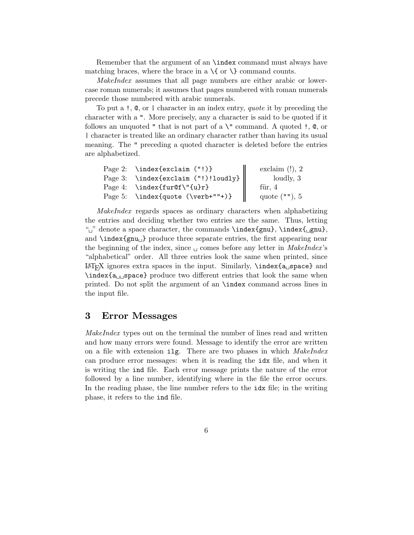Remember that the argument of an \index command must always have matching braces, where the brace in a  $\{$  or  $\}$  command counts.

*MakeIndex* assumes that all page numbers are either arabic or lowercase roman numerals; it assumes that pages numbered with roman numerals precede those numbered with arabic numerals.

To put a !, @, or | character in an index entry, *quote* it by preceding the character with a ". More precisely, any a character is said to be quoted if it follows an unquoted " that is not part of a  $\Upsilon$ " command. A quoted !,  $\mathcal{Q}$ , or | character is treated like an ordinary character rather than having its usual meaning. The " preceding a quoted character is deleted before the entries are alphabetized.

| Page 2: $\infty$ ("!)}                       | exclaim $(!)$ , 2 |
|----------------------------------------------|-------------------|
| Page 3: $\infty$ \index{exclaim ("!)!loudly} | loudly, 3         |
| Page 4: \index{fur@f\"{u}r}                  | für, $4$          |
| Page 5: $\in$ {quote $(\verb verb+""+})$ }   | quote $("")$ , 5  |

*MakeIndex* regards spaces as ordinary characters when alphabetizing the entries and deciding whether two entries are the same. Thus, letting "
" denote a space character, the commands \index{gnu}, \index{<sub>Li</sub>gnu}, and **\index{gnu**<sub>Li</sub>} produce three separate entries, the first appearing near the beginning of the index, since  $\Box$  comes before any letter in *MakeIndex*'s "alphabetical" order. All three entries look the same when printed, since  $\LaTeX{}$  ignores extra spaces in the input. Similarly,  $\in \A_5$  space} and \index{a--space} produce two different entries that look the same when printed. Do not split the argument of an \index command across lines in the input file.

# **3 Error Messages**

*MakeIndex* types out on the terminal the number of lines read and written and how many errors were found. Message to identify the error are written on a file with extension ilg. There are two phases in which *MakeIndex* can produce error messages: when it is reading the idx file, and when it is writing the ind file. Each error message prints the nature of the error followed by a line number, identifying where in the file the error occurs. In the reading phase, the line number refers to the idx file; in the writing phase, it refers to the ind file.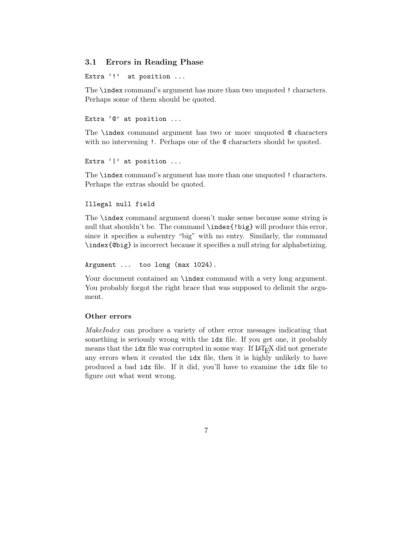## **3.1 Errors in Reading Phase**

Extra '!' at position ...

The \index command's argument has more than two unquoted ! characters. Perhaps some of them should be quoted.

Extra '0' at position ...

The \index command argument has two or more unquoted @ characters with no intervening !. Perhaps one of the  $\&$  characters should be quoted.

```
Extra '|' at position ...
```
The \index command's argument has more than one unquoted ! characters. Perhaps the extras should be quoted.

#### Illegal null field

The \index command argument doesn't make sense because some string is null that shouldn't be. The command \index{!big} will produce this error, since it specifies a subentry "big" with no entry. Similarly, the command \index{@big} is incorrect because it specifies a null string for alphabetizing.

Argument ... too long (max 1024).

Your document contained an **\index** command with a very long argument. You probably forgot the right brace that was supposed to delimit the argument.

## **Other errors**

*MakeIndex* can produce a variety of other error messages indicating that something is seriously wrong with the idx file. If you get one, it probably means that the idx file was corrupted in some way. If LAT<sub>E</sub>X did not generate any errors when it created the idx file, then it is highly unlikely to have produced a bad idx file. If it did, you'll have to examine the idx file to figure out what went wrong.

7